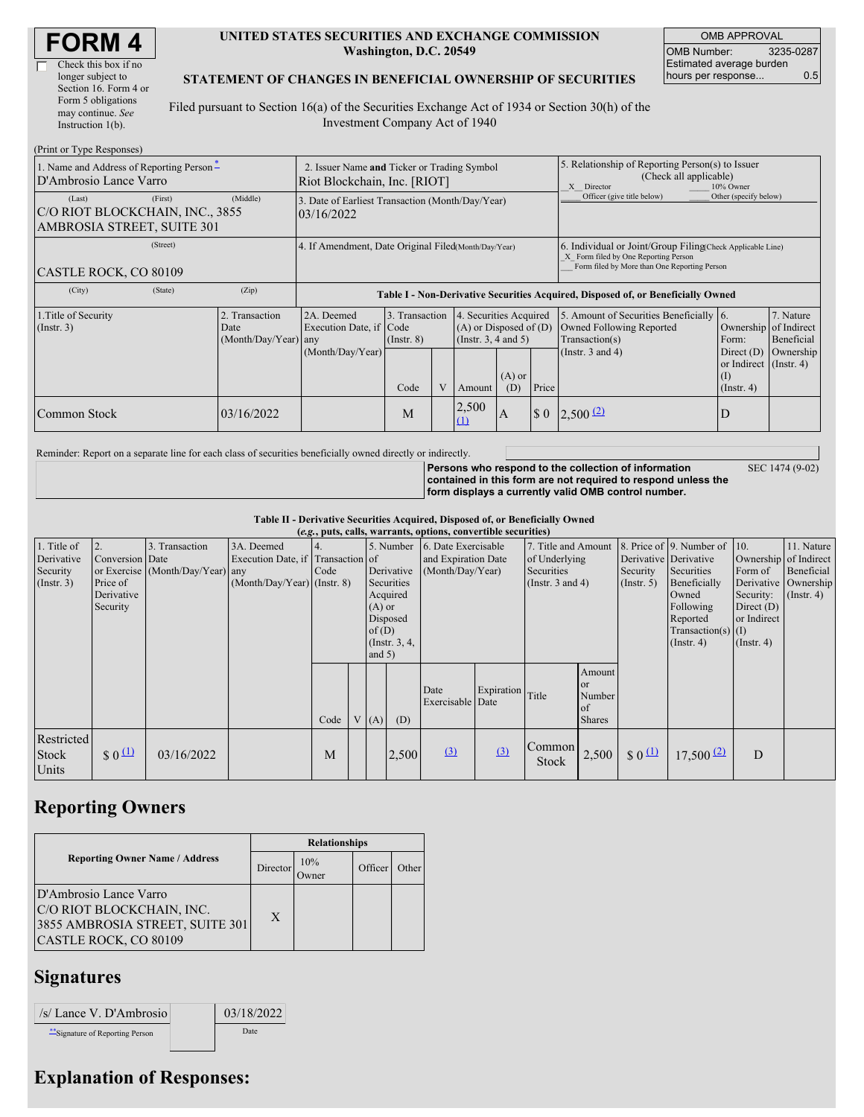| <b>FORM4</b> |
|--------------|
|--------------|

 $\Box$ 

| Check this box if no  |
|-----------------------|
| longer subject to     |
| Section 16. Form 4 or |
| Form 5 obligations    |
| may continue. See     |
| Instruction $1(b)$ .  |
|                       |

(Print or Type Responses)

#### **UNITED STATES SECURITIES AND EXCHANGE COMMISSION Washington, D.C. 20549**

OMB APPROVAL OMB Number: 3235-0287 Estimated average burden hours per response... 0.5

SEC 1474 (9-02)

#### **STATEMENT OF CHANGES IN BENEFICIAL OWNERSHIP OF SECURITIES**

Filed pursuant to Section 16(a) of the Securities Exchange Act of 1934 or Section 30(h) of the Investment Company Act of 1940

| $(1 \text{ min of 1 ypc Rcspons} \cup$<br>1. Name and Address of Reporting Person-<br>D'Ambrosio Lance Varro |         | 2. Issuer Name and Ticker or Trading Symbol<br>Riot Blockchain, Inc. [RIOT] |                                                                                  |                         |                                                                                                                             |                   |       | 5. Relationship of Reporting Person(s) to Issuer<br>(Check all applicable)<br>X Director<br>10% Owner                                              |                                                                                                           |                                      |  |
|--------------------------------------------------------------------------------------------------------------|---------|-----------------------------------------------------------------------------|----------------------------------------------------------------------------------|-------------------------|-----------------------------------------------------------------------------------------------------------------------------|-------------------|-------|----------------------------------------------------------------------------------------------------------------------------------------------------|-----------------------------------------------------------------------------------------------------------|--------------------------------------|--|
| (Last)<br>C/O RIOT BLOCKCHAIN, INC., 3855<br>AMBROSIA STREET, SUITE 301                                      | (First) | (Middle)                                                                    | 3. Date of Earliest Transaction (Month/Day/Year)<br>03/16/2022                   |                         |                                                                                                                             |                   |       | Officer (give title below)                                                                                                                         | Other (specify below)                                                                                     |                                      |  |
| CASTLE ROCK, CO 80109                                                                                        |         | 4. If Amendment, Date Original Filed(Month/Day/Year)                        |                                                                                  |                         |                                                                                                                             |                   |       | 6. Individual or Joint/Group Filing Check Applicable Line)<br>X Form filed by One Reporting Person<br>Form filed by More than One Reporting Person |                                                                                                           |                                      |  |
| (City)                                                                                                       | (State) | (Zip)                                                                       | Table I - Non-Derivative Securities Acquired, Disposed of, or Beneficially Owned |                         |                                                                                                                             |                   |       |                                                                                                                                                    |                                                                                                           |                                      |  |
| 1. Title of Security<br>$($ Instr. 3 $)$                                                                     |         | 2. Transaction<br>Date<br>$(Month/Day/Year)$ any                            | 2A. Deemed<br>Execution Date, if Code<br>(Month/Day/Year)                        | $($ Instr. $8)$<br>Code | 3. Transaction<br>4. Securities Acquired<br>$(A)$ or Disposed of $(D)$<br>(Insert. 3, 4 and 5)<br>$(A)$ or<br>(D)<br>Amount |                   | Price | 5. Amount of Securities Beneficially 6.<br>Owned Following Reported<br>Transaction(s)<br>(Instr. $3$ and $4$ )                                     | Ownership of Indirect<br>Form:<br>Direct $(D)$<br>or Indirect $($ Instr. 4 $)$<br>(I)<br>$($ Instr. 4 $)$ | 7. Nature<br>Beneficial<br>Ownership |  |
| Common Stock                                                                                                 |         | 03/16/2022                                                                  |                                                                                  | M                       |                                                                                                                             | 2,500<br>$\Omega$ | A     |                                                                                                                                                    |                                                                                                           | D                                    |  |

Reminder: Report on a separate line for each class of securities beneficially owned directly or indirectly.

**Persons who respond to the collection of information contained in this form are not required to respond unless the form displays a currently valid OMB control number.**

**Table II - Derivative Securities Acquired, Disposed of, or Beneficially Owned**

|                                                           | (e.g., puts, calls, warrants, options, convertible securities) |                                                    |                                                                                  |      |  |                                  |                                                                                  |                                                                |                  |                                                                        |                                                          |                                |                                                                                                                                                                                           |                                                                                                                |                                                           |
|-----------------------------------------------------------|----------------------------------------------------------------|----------------------------------------------------|----------------------------------------------------------------------------------|------|--|----------------------------------|----------------------------------------------------------------------------------|----------------------------------------------------------------|------------------|------------------------------------------------------------------------|----------------------------------------------------------|--------------------------------|-------------------------------------------------------------------------------------------------------------------------------------------------------------------------------------------|----------------------------------------------------------------------------------------------------------------|-----------------------------------------------------------|
| 1. Title of<br>Derivative<br>Security<br>$($ Instr. 3 $)$ | 2.<br>Conversion Date<br>Price of<br>Derivative<br>Security    | 3. Transaction<br>or Exercise (Month/Day/Year) any | 3A. Deemed<br>Execution Date, if Transaction of<br>$(Month/Day/Year)$ (Instr. 8) | Code |  | $(A)$ or<br>of $(D)$<br>and $5)$ | 5. Number<br>Derivative<br>Securities<br>Acquired<br>Disposed<br>(Instr. $3, 4,$ | 6. Date Exercisable<br>and Expiration Date<br>(Month/Day/Year) |                  | 7. Title and Amount<br>of Underlying<br>Securities<br>(Instr. 3 and 4) |                                                          | Security<br>(Insert. 5)        | $\vert$ 8. Price of $\vert$ 9. Number of $\vert$ 10.<br>Derivative Derivative<br>Securities<br>Beneficially<br>Owned<br>Following<br>Reported<br>$Transaction(s)$ (I)<br>$($ Instr. 4 $)$ | Ownership of Indirect<br>Form of<br>Derivative<br>Security:<br>Direct $(D)$<br>or Indirect<br>$($ Instr. 4 $)$ | 11. Nature<br>Beneficial<br>Ownership<br>$($ Instr. 4 $)$ |
|                                                           |                                                                |                                                    |                                                                                  | Code |  | V(A)                             | (D)                                                                              | Date<br>Exercisable Date                                       | Expiration Title |                                                                        | Amount<br><sub>or</sub><br>Number<br>of<br><b>Shares</b> |                                |                                                                                                                                                                                           |                                                                                                                |                                                           |
| Restricted<br>Stock<br>Units                              | $$0^{\underline{11}}$$                                         | 03/16/2022                                         |                                                                                  | M    |  |                                  | 2,500                                                                            | (3)                                                            | (3)              | Common<br><b>Stock</b>                                                 | 2,500                                                    | $\frac{1}{2}$ 0 $\frac{11}{2}$ | $17,500$ $(2)$                                                                                                                                                                            | D                                                                                                              |                                                           |

## **Reporting Owners**

|                                                                                                                 | <b>Relationships</b> |                      |         |              |  |  |  |  |
|-----------------------------------------------------------------------------------------------------------------|----------------------|----------------------|---------|--------------|--|--|--|--|
| <b>Reporting Owner Name / Address</b>                                                                           | Director             | 10%<br><b>)</b> wner | Officer | <b>Other</b> |  |  |  |  |
| D'Ambrosio Lance Varro<br>C/O RIOT BLOCKCHAIN, INC.<br>3855 AMBROSIA STREET, SUITE 301<br>CASTLE ROCK, CO 80109 | X                    |                      |         |              |  |  |  |  |

### **Signatures**

| /s/ Lance V. D'Ambrosio       | 03/18/2022 |
|-------------------------------|------------|
| Signature of Reporting Person | Date       |

# **Explanation of Responses:**